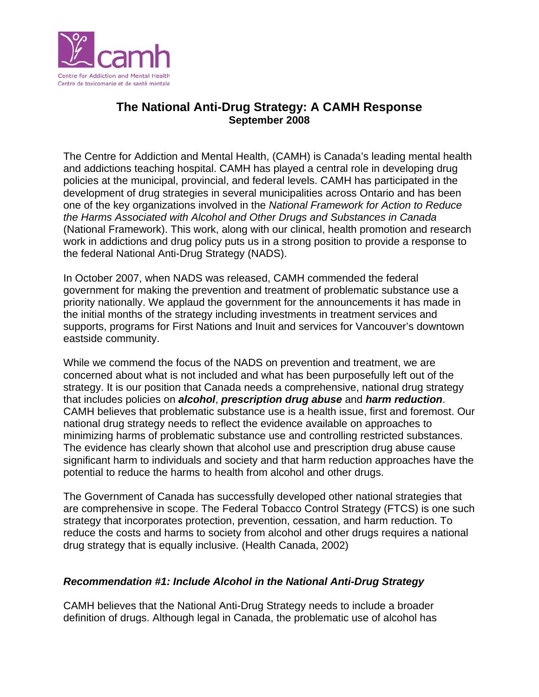

# **The National Anti-Drug Strategy: A CAMH Response September 2008**

The Centre for Addiction and Mental Health, (CAMH) is Canada's leading mental health and addictions teaching hospital. CAMH has played a central role in developing drug policies at the municipal, provincial, and federal levels. CAMH has participated in the development of drug strategies in several municipalities across Ontario and has been one of the key organizations involved in the *National Framework for Action to Reduce the Harms Associated with Alcohol and Other Drugs and Substances in Canada*  (National Framework). This work, along with our clinical, health promotion and research work in addictions and drug policy puts us in a strong position to provide a response to the federal National Anti-Drug Strategy (NADS).

In October 2007, when NADS was released, CAMH commended the federal government for making the prevention and treatment of problematic substance use a priority nationally. We applaud the government for the announcements it has made in the initial months of the strategy including investments in treatment services and supports, programs for First Nations and Inuit and services for Vancouver's downtown eastside community.

While we commend the focus of the NADS on prevention and treatment, we are concerned about what is not included and what has been purposefully left out of the strategy. It is our position that Canada needs a comprehensive, national drug strategy that includes policies on *alcohol*, *prescription drug abuse* and *harm reduction*. CAMH believes that problematic substance use is a health issue, first and foremost. Our national drug strategy needs to reflect the evidence available on approaches to minimizing harms of problematic substance use and controlling restricted substances. The evidence has clearly shown that alcohol use and prescription drug abuse cause significant harm to individuals and society and that harm reduction approaches have the potential to reduce the harms to health from alcohol and other drugs.

The Government of Canada has successfully developed other national strategies that are comprehensive in scope. The Federal Tobacco Control Strategy (FTCS) is one such strategy that incorporates protection, prevention, cessation, and harm reduction. To reduce the costs and harms to society from alcohol and other drugs requires a national drug strategy that is equally inclusive. (Health Canada, 2002)

#### *Recommendation #1: Include Alcohol in the National Anti-Drug Strategy*

CAMH believes that the National Anti-Drug Strategy needs to include a broader definition of drugs. Although legal in Canada, the problematic use of alcohol has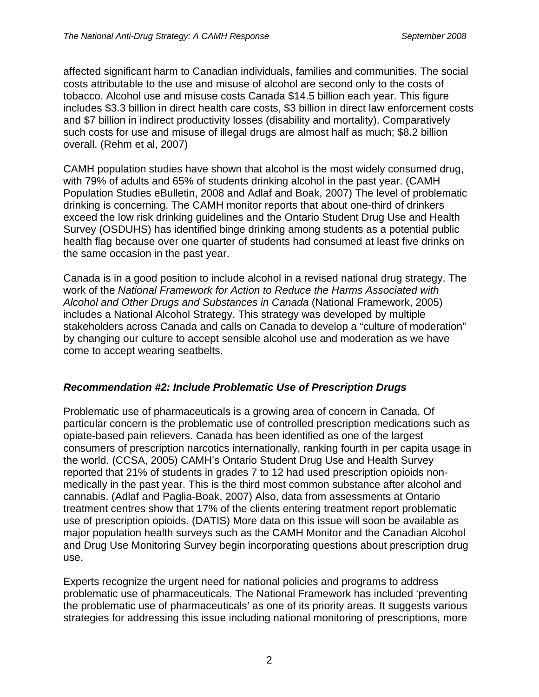affected significant harm to Canadian individuals, families and communities. The social costs attributable to the use and misuse of alcohol are second only to the costs of tobacco. Alcohol use and misuse costs Canada \$14.5 billion each year. This figure includes \$3.3 billion in direct health care costs, \$3 billion in direct law enforcement costs and \$7 billion in indirect productivity losses (disability and mortality). Comparatively such costs for use and misuse of illegal drugs are almost half as much; \$8.2 billion overall. (Rehm et al, 2007)

CAMH population studies have shown that alcohol is the most widely consumed drug, with 79% of adults and 65% of students drinking alcohol in the past year. (CAMH Population Studies eBulletin, 2008 and Adlaf and Boak, 2007) The level of problematic drinking is concerning. The CAMH monitor reports that about one-third of drinkers exceed the low risk drinking guidelines and the Ontario Student Drug Use and Health Survey (OSDUHS) has identified binge drinking among students as a potential public health flag because over one quarter of students had consumed at least five drinks on the same occasion in the past year.

Canada is in a good position to include alcohol in a revised national drug strategy. The work of the *National Framework for Action to Reduce the Harms Associated with Alcohol and Other Drugs and Substances in Canada* (National Framework, 2005) includes a National Alcohol Strategy. This strategy was developed by multiple stakeholders across Canada and calls on Canada to develop a "culture of moderation" by changing our culture to accept sensible alcohol use and moderation as we have come to accept wearing seatbelts.

## *Recommendation #2: Include Problematic Use of Prescription Drugs*

Problematic use of pharmaceuticals is a growing area of concern in Canada. Of particular concern is the problematic use of controlled prescription medications such as opiate-based pain relievers. Canada has been identified as one of the largest consumers of prescription narcotics internationally, ranking fourth in per capita usage in the world. (CCSA, 2005) CAMH's Ontario Student Drug Use and Health Survey reported that 21% of students in grades 7 to 12 had used prescription opioids nonmedically in the past year. This is the third most common substance after alcohol and cannabis. (Adlaf and Paglia-Boak, 2007) Also, data from assessments at Ontario treatment centres show that 17% of the clients entering treatment report problematic use of prescription opioids. (DATIS) More data on this issue will soon be available as major population health surveys such as the CAMH Monitor and the Canadian Alcohol and Drug Use Monitoring Survey begin incorporating questions about prescription drug use.

Experts recognize the urgent need for national policies and programs to address problematic use of pharmaceuticals. The National Framework has included 'preventing the problematic use of pharmaceuticals' as one of its priority areas. It suggests various strategies for addressing this issue including national monitoring of prescriptions, more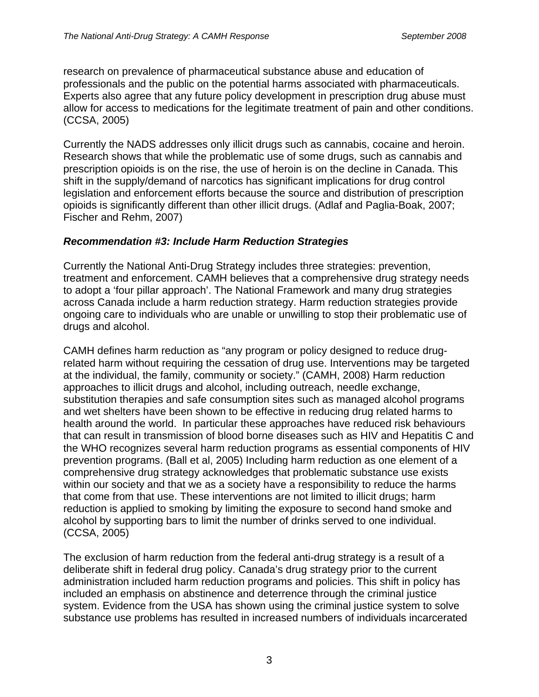research on prevalence of pharmaceutical substance abuse and education of professionals and the public on the potential harms associated with pharmaceuticals. Experts also agree that any future policy development in prescription drug abuse must allow for access to medications for the legitimate treatment of pain and other conditions. (CCSA, 2005)

Currently the NADS addresses only illicit drugs such as cannabis, cocaine and heroin. Research shows that while the problematic use of some drugs, such as cannabis and prescription opioids is on the rise, the use of heroin is on the decline in Canada. This shift in the supply/demand of narcotics has significant implications for drug control legislation and enforcement efforts because the source and distribution of prescription opioids is significantly different than other illicit drugs. (Adlaf and Paglia-Boak, 2007; Fischer and Rehm, 2007)

### *Recommendation #3: Include Harm Reduction Strategies*

Currently the National Anti-Drug Strategy includes three strategies: prevention, treatment and enforcement. CAMH believes that a comprehensive drug strategy needs to adopt a 'four pillar approach'. The National Framework and many drug strategies across Canada include a harm reduction strategy. Harm reduction strategies provide ongoing care to individuals who are unable or unwilling to stop their problematic use of drugs and alcohol.

CAMH defines harm reduction as "any program or policy designed to reduce drugrelated harm without requiring the cessation of drug use. Interventions may be targeted at the individual, the family, community or society." (CAMH, 2008) Harm reduction approaches to illicit drugs and alcohol, including outreach, needle exchange, substitution therapies and safe consumption sites such as managed alcohol programs and wet shelters have been shown to be effective in reducing drug related harms to health around the world. In particular these approaches have reduced risk behaviours that can result in transmission of blood borne diseases such as HIV and Hepatitis C and the WHO recognizes several harm reduction programs as essential components of HIV prevention programs. (Ball et al, 2005) Including harm reduction as one element of a comprehensive drug strategy acknowledges that problematic substance use exists within our society and that we as a society have a responsibility to reduce the harms that come from that use. These interventions are not limited to illicit drugs; harm reduction is applied to smoking by limiting the exposure to second hand smoke and alcohol by supporting bars to limit the number of drinks served to one individual. (CCSA, 2005)

The exclusion of harm reduction from the federal anti-drug strategy is a result of a deliberate shift in federal drug policy. Canada's drug strategy prior to the current administration included harm reduction programs and policies. This shift in policy has included an emphasis on abstinence and deterrence through the criminal justice system. Evidence from the USA has shown using the criminal justice system to solve substance use problems has resulted in increased numbers of individuals incarcerated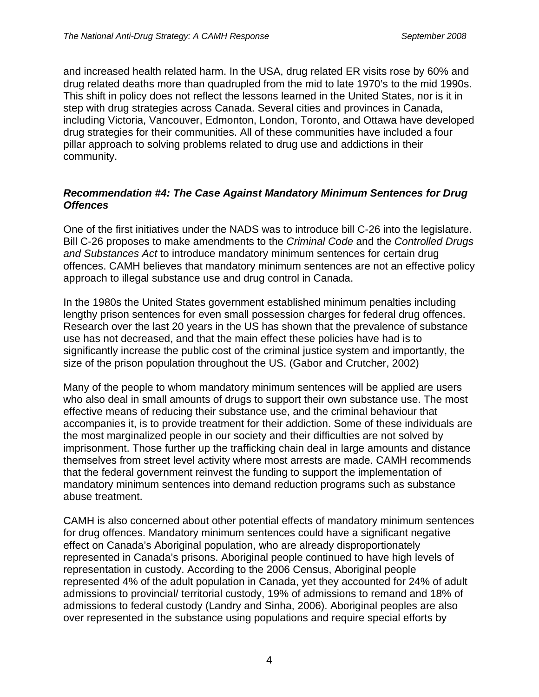and increased health related harm. In the USA, drug related ER visits rose by 60% and drug related deaths more than quadrupled from the mid to late 1970's to the mid 1990s. This shift in policy does not reflect the lessons learned in the United States, nor is it in step with drug strategies across Canada. Several cities and provinces in Canada, including Victoria, Vancouver, Edmonton, London, Toronto, and Ottawa have developed drug strategies for their communities. All of these communities have included a four pillar approach to solving problems related to drug use and addictions in their community.

### *Recommendation #4: The Case Against Mandatory Minimum Sentences for Drug Offences*

One of the first initiatives under the NADS was to introduce bill C-26 into the legislature. Bill C-26 proposes to make amendments to the *Criminal Code* and the *Controlled Drugs and Substances Act* to introduce mandatory minimum sentences for certain drug offences. CAMH believes that mandatory minimum sentences are not an effective policy approach to illegal substance use and drug control in Canada.

In the 1980s the United States government established minimum penalties including lengthy prison sentences for even small possession charges for federal drug offences. Research over the last 20 years in the US has shown that the prevalence of substance use has not decreased, and that the main effect these policies have had is to significantly increase the public cost of the criminal justice system and importantly, the size of the prison population throughout the US. (Gabor and Crutcher, 2002)

Many of the people to whom mandatory minimum sentences will be applied are users who also deal in small amounts of drugs to support their own substance use. The most effective means of reducing their substance use, and the criminal behaviour that accompanies it, is to provide treatment for their addiction. Some of these individuals are the most marginalized people in our society and their difficulties are not solved by imprisonment. Those further up the trafficking chain deal in large amounts and distance themselves from street level activity where most arrests are made. CAMH recommends that the federal government reinvest the funding to support the implementation of mandatory minimum sentences into demand reduction programs such as substance abuse treatment.

CAMH is also concerned about other potential effects of mandatory minimum sentences for drug offences. Mandatory minimum sentences could have a significant negative effect on Canada's Aboriginal population, who are already disproportionately represented in Canada's prisons. Aboriginal people continued to have high levels of representation in custody. According to the 2006 Census, Aboriginal people represented 4% of the adult population in Canada, yet they accounted for 24% of adult admissions to provincial/ territorial custody, 19% of admissions to remand and 18% of admissions to federal custody (Landry and Sinha, 2006). Aboriginal peoples are also over represented in the substance using populations and require special efforts by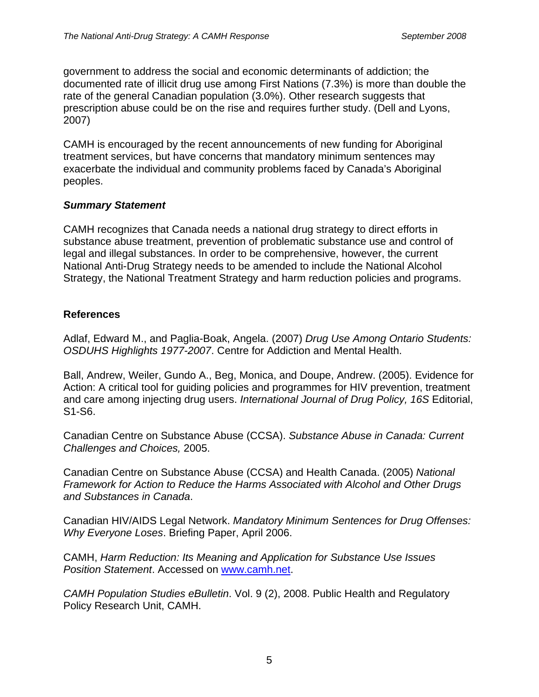government to address the social and economic determinants of addiction; the documented rate of illicit drug use among First Nations (7.3%) is more than double the rate of the general Canadian population (3.0%). Other research suggests that prescription abuse could be on the rise and requires further study. (Dell and Lyons, 2007)

CAMH is encouraged by the recent announcements of new funding for Aboriginal treatment services, but have concerns that mandatory minimum sentences may exacerbate the individual and community problems faced by Canada's Aboriginal peoples.

#### *Summary Statement*

CAMH recognizes that Canada needs a national drug strategy to direct efforts in substance abuse treatment, prevention of problematic substance use and control of legal and illegal substances. In order to be comprehensive, however, the current National Anti-Drug Strategy needs to be amended to include the National Alcohol Strategy, the National Treatment Strategy and harm reduction policies and programs.

## **References**

Adlaf, Edward M., and Paglia-Boak, Angela. (2007) *Drug Use Among Ontario Students: OSDUHS Highlights 1977-2007*. Centre for Addiction and Mental Health.

Ball, Andrew, Weiler, Gundo A., Beg, Monica, and Doupe, Andrew. (2005). Evidence for Action: A critical tool for guiding policies and programmes for HIV prevention, treatment and care among injecting drug users. *International Journal of Drug Policy, 16S* Editorial, S1-S6.

Canadian Centre on Substance Abuse (CCSA). *Substance Abuse in Canada: Current Challenges and Choices,* 2005.

Canadian Centre on Substance Abuse (CCSA) and Health Canada. (2005) *National Framework for Action to Reduce the Harms Associated with Alcohol and Other Drugs and Substances in Canada*.

Canadian HIV/AIDS Legal Network. *Mandatory Minimum Sentences for Drug Offenses: Why Everyone Loses*. Briefing Paper, April 2006.

CAMH, *Harm Reduction: Its Meaning and Application for Substance Use Issues Position Statement*. Accessed on www.camh.net.

*CAMH Population Studies eBulletin*. Vol. 9 (2), 2008. Public Health and Regulatory Policy Research Unit, CAMH.